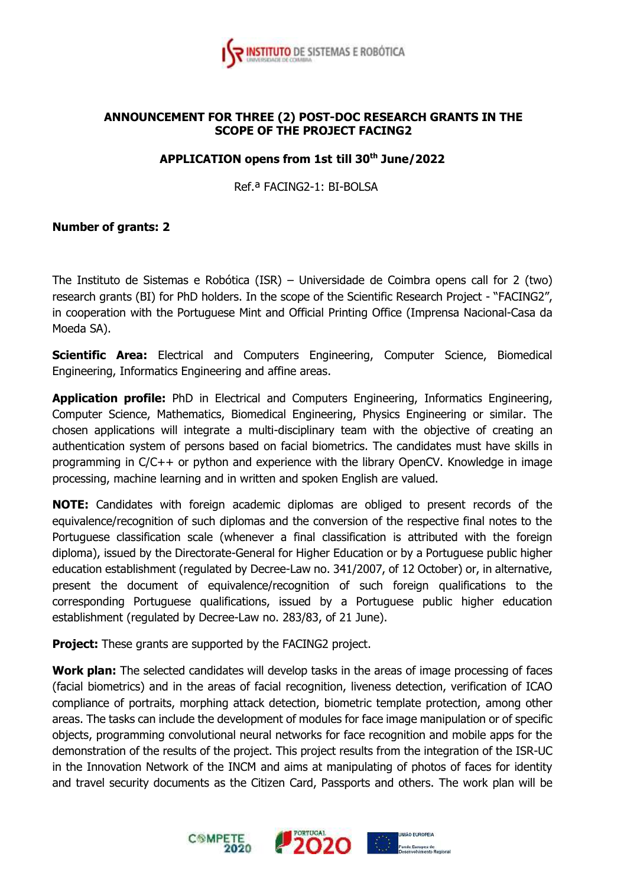

## **ANNOUNCEMENT FOR THREE (2) POST-DOC RESEARCH GRANTS IN THE SCOPE OF THE PROJECT FACING2**

## **APPLICATION opens from 1st till 30th June/2022**

Ref.ª FACING2-1: BI-BOLSA

## **Number of grants: 2**

The Instituto de Sistemas e Robótica (ISR) – Universidade de Coimbra opens call for 2 (two) research grants (BI) for PhD holders. In the scope of the Scientific Research Project - "FACING2", in cooperation with the Portuguese Mint and Official Printing Office (Imprensa Nacional-Casa da Moeda SA).

**Scientific Area:** Electrical and Computers Engineering, Computer Science, Biomedical Engineering, Informatics Engineering and affine areas.

**Application profile:** PhD in Electrical and Computers Engineering, Informatics Engineering, Computer Science, Mathematics, Biomedical Engineering, Physics Engineering or similar. The chosen applications will integrate a multi-disciplinary team with the objective of creating an authentication system of persons based on facial biometrics. The candidates must have skills in programming in C/C++ or python and experience with the library OpenCV. Knowledge in image processing, machine learning and in written and spoken English are valued.

**NOTE:** Candidates with foreign academic diplomas are obliged to present records of the equivalence/recognition of such diplomas and the conversion of the respective final notes to the Portuguese classification scale (whenever a final classification is attributed with the foreign diploma), issued by the Directorate-General for Higher Education or by a Portuguese public higher education establishment (regulated by Decree-Law no. 341/2007, of 12 October) or, in alternative, present the document of equivalence/recognition of such foreign qualifications to the corresponding Portuguese qualifications, issued by a Portuguese public higher education establishment (regulated by Decree-Law no. 283/83, of 21 June).

**Project:** These grants are supported by the FACING2 project.

**Work plan:** The selected candidates will develop tasks in the areas of image processing of faces (facial biometrics) and in the areas of facial recognition, liveness detection, verification of ICAO compliance of portraits, morphing attack detection, biometric template protection, among other areas. The tasks can include the development of modules for face image manipulation or of specific objects, programming convolutional neural networks for face recognition and mobile apps for the demonstration of the results of the project. This project results from the integration of the ISR-UC in the Innovation Network of the INCM and aims at manipulating of photos of faces for identity and travel security documents as the Citizen Card, Passports and others. The work plan will be

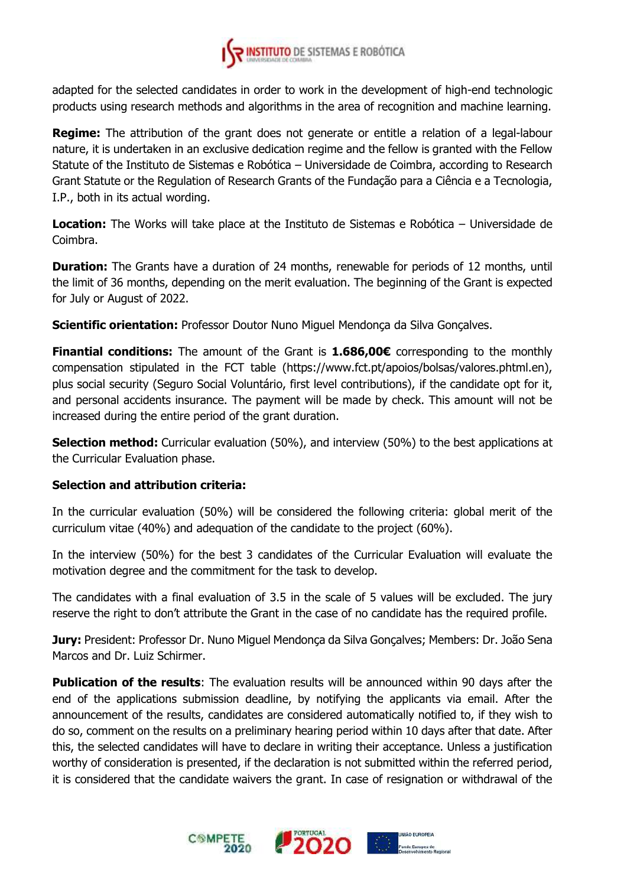

adapted for the selected candidates in order to work in the development of high-end technologic products using research methods and algorithms in the area of recognition and machine learning.

**Regime:** The attribution of the grant does not generate or entitle a relation of a legal-labour nature, it is undertaken in an exclusive dedication regime and the fellow is granted with the Fellow Statute of the Instituto de Sistemas e Robótica – Universidade de Coimbra, according to Research Grant Statute or the Regulation of Research Grants of the Fundação para a Ciência e a Tecnologia, I.P., both in its actual wording.

**Location:** The Works will take place at the Instituto de Sistemas e Robótica – Universidade de Coimbra.

**Duration:** The Grants have a duration of 24 months, renewable for periods of 12 months, until the limit of 36 months, depending on the merit evaluation. The beginning of the Grant is expected for July or August of 2022.

**Scientific orientation:** Professor Doutor Nuno Miguel Mendonça da Silva Gonçalves.

**Finantial conditions:** The amount of the Grant is **1.686,00€** corresponding to the monthly compensation stipulated in the FCT table (https://www.fct.pt/apoios/bolsas/valores.phtml.en), plus social security (Seguro Social Voluntário, first level contributions), if the candidate opt for it, and personal accidents insurance. The payment will be made by check. This amount will not be increased during the entire period of the grant duration.

**Selection method:** Curricular evaluation (50%), and interview (50%) to the best applications at the Curricular Evaluation phase.

## **Selection and attribution criteria:**

In the curricular evaluation (50%) will be considered the following criteria: global merit of the curriculum vitae (40%) and adequation of the candidate to the project (60%).

In the interview (50%) for the best 3 candidates of the Curricular Evaluation will evaluate the motivation degree and the commitment for the task to develop.

The candidates with a final evaluation of 3.5 in the scale of 5 values will be excluded. The jury reserve the right to don't attribute the Grant in the case of no candidate has the required profile.

**Jury:** President: Professor Dr. Nuno Miguel Mendonça da Silva Gonçalves; Members: Dr. João Sena Marcos and Dr. Luiz Schirmer.

**Publication of the results**: The evaluation results will be announced within 90 days after the end of the applications submission deadline, by notifying the applicants via email. After the announcement of the results, candidates are considered automatically notified to, if they wish to do so, comment on the results on a preliminary hearing period within 10 days after that date. After this, the selected candidates will have to declare in writing their acceptance. Unless a justification worthy of consideration is presented, if the declaration is not submitted within the referred period, it is considered that the candidate waivers the grant. In case of resignation or withdrawal of the